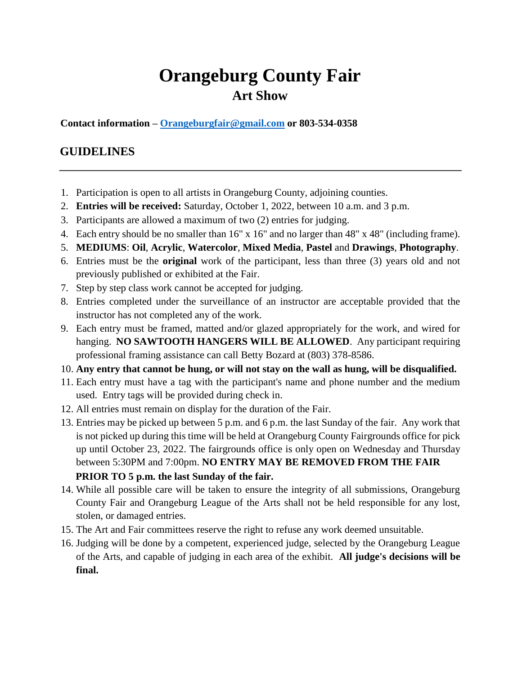# **Orangeburg County Fair Art Show**

**Contact information – [Orangeburgfair@gmail.com](mailto:Orangeburgfair@gmail.com) or 803-534-0358**

## **GUIDELINES**

- 1. Participation is open to all artists in Orangeburg County, adjoining counties.
- 2. **Entries will be received:** Saturday, October 1, 2022, between 10 a.m. and 3 p.m.
- 3. Participants are allowed a maximum of two (2) entries for judging.
- 4. Each entry should be no smaller than 16" x 16" and no larger than 48" x 48" (including frame).
- 5. **MEDIUMS**: **Oil**, **Acrylic**, **Watercolor**, **Mixed Media**, **Pastel** and **Drawings**, **Photography**.
- 6. Entries must be the **original** work of the participant, less than three (3) years old and not previously published or exhibited at the Fair.
- 7. Step by step class work cannot be accepted for judging.
- 8. Entries completed under the surveillance of an instructor are acceptable provided that the instructor has not completed any of the work.
- 9. Each entry must be framed, matted and/or glazed appropriately for the work, and wired for hanging. **NO SAWTOOTH HANGERS WILL BE ALLOWED**. Any participant requiring professional framing assistance can call Betty Bozard at (803) 378-8586.
- 10. **Any entry that cannot be hung, or will not stay on the wall as hung, will be disqualified.**
- 11. Each entry must have a tag with the participant's name and phone number and the medium used. Entry tags will be provided during check in.
- 12. All entries must remain on display for the duration of the Fair.
- 13. Entries may be picked up between 5 p.m. and 6 p.m. the last Sunday of the fair. Any work that is not picked up during this time will be held at Orangeburg County Fairgrounds office for pick up until October 23, 2022. The fairgrounds office is only open on Wednesday and Thursday between 5:30PM and 7:00pm. **NO ENTRY MAY BE REMOVED FROM THE FAIR PRIOR TO 5 p.m. the last Sunday of the fair.**
- 14. While all possible care will be taken to ensure the integrity of all submissions, Orangeburg County Fair and Orangeburg League of the Arts shall not be held responsible for any lost, stolen, or damaged entries.
- 15. The Art and Fair committees reserve the right to refuse any work deemed unsuitable.
- 16. Judging will be done by a competent, experienced judge, selected by the Orangeburg League of the Arts, and capable of judging in each area of the exhibit. **All judge's decisions will be final.**